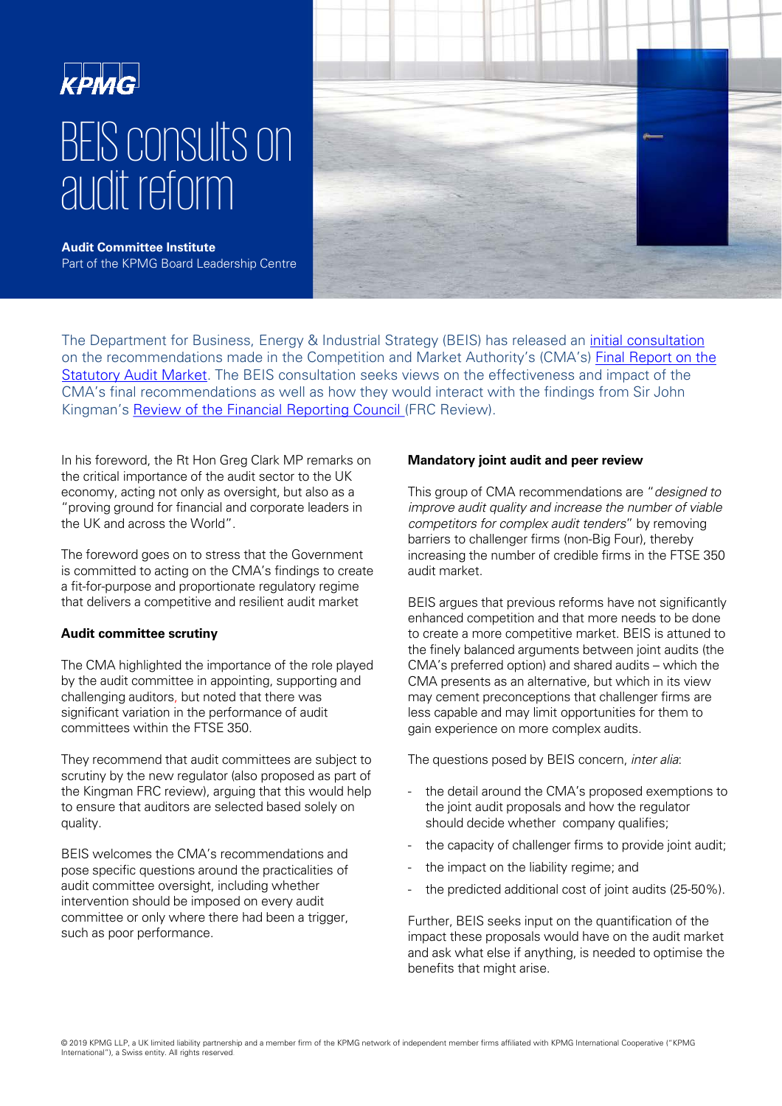# BEIS consults on audit reform

**Audit Committee Institute** Part of the KPMG Board Leadership Centre



The Department for Business, Energy & Industrial Strategy (BEIS) has released an *initial consultation* on the recommendations made in the Competition and Market Authority's (CMA's) Final Report on the [Statutory Audit Market. The BEIS consultation seeks views on the effectiveness and impact of the](https://assets.publishing.service.gov.uk/media/5cb89b2bed915d74fed24206/CMA_final_audit_market_report_A.pdf)  CMA's final recommendations as well as how they would interact with the findings from Sir John Kingman's [Review of the Financial Reporting Council](https://assets.publishing.service.gov.uk/government/uploads/system/uploads/attachment_data/file/767387/frc-independent-review-final-report.pdf) (FRC Review).

In his foreword, the Rt Hon Greg Clark MP remarks on the critical importance of the audit sector to the UK economy, acting not only as oversight, but also as a "proving ground for financial and corporate leaders in the UK and across the World".

The foreword goes on to stress that the Government is committed to acting on the CMA's findings to create a fit-for-purpose and proportionate regulatory regime that delivers a competitive and resilient audit market

# **Audit committee scrutiny**

The CMA highlighted the importance of the role played by the audit committee in appointing, supporting and challenging auditors, but noted that there was significant variation in the performance of audit committees within the FTSE 350.

They recommend that audit committees are subject to scrutiny by the new regulator (also proposed as part of the Kingman FRC review), arguing that this would help to ensure that auditors are selected based solely on quality.

BEIS welcomes the CMA's recommendations and pose specific questions around the practicalities of audit committee oversight, including whether intervention should be imposed on every audit committee or only where there had been a trigger, such as poor performance.

### **Mandatory joint audit and peer review**

This group of CMA recommendations are "designed to improve audit quality and increase the number of viable competitors for complex audit tenders" by removing barriers to challenger firms (non-Big Four), thereby increasing the number of credible firms in the FTSE 350 audit market.

BEIS argues that previous reforms have not significantly enhanced competition and that more needs to be done to create a more competitive market. BEIS is attuned to the finely balanced arguments between joint audits (the CMA's preferred option) and shared audits – which the CMA presents as an alternative, but which in its view may cement preconceptions that challenger firms are less capable and may limit opportunities for them to gain experience on more complex audits.

The questions posed by BEIS concern, inter alia:

- the detail around the CMA's proposed exemptions to the joint audit proposals and how the regulator should decide whether company qualifies;
- the capacity of challenger firms to provide joint audit;
- the impact on the liability regime; and
- the predicted additional cost of joint audits (25-50%).

Further, BEIS seeks input on the quantification of the impact these proposals would have on the audit market and ask what else if anything, is needed to optimise the benefits that might arise.